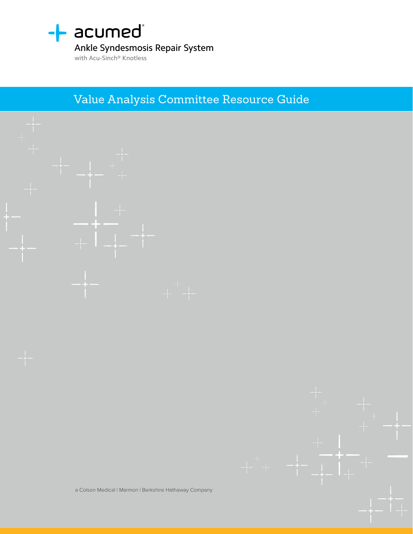

### Ankle Syndesmosis Repair System

with Acu-Sinch® Knotless

Value Analysis Committee Resource Guide

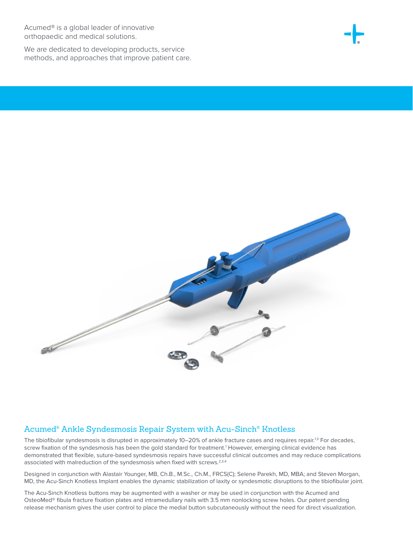Acumed® is a global leader of innovative orthopaedic and medical solutions.

We are dedicated to developing products, service methods, and approaches that improve patient care.





### Acumed® Ankle Syndesmosis Repair System with Acu-Sinch® Knotless

The tibiofibular syndesmosis is disrupted in approximately 10–20% of ankle fracture cases and requires repair.<sup>1,3</sup> For decades, screw fixation of the syndesmosis has been the gold standard for treatment.<sup>1</sup> However, emerging clinical evidence has demonstrated that flexible, suture-based syndesmosis repairs have successful clinical outcomes and may reduce complications associated with malreduction of the syndesmosis when fixed with screws.<sup>2,3,4</sup>

Designed in conjunction with Alastair Younger, MB, Ch.B., M.Sc., Ch.M., FRCS(C); Selene Parekh, MD, MBA; and Steven Morgan, MD, the Acu-Sinch Knotless Implant enables the dynamic stabilization of laxity or syndesmotic disruptions to the tibiofibular joint.

The Acu-Sinch Knotless buttons may be augmented with a washer or may be used in conjunction with the Acumed and OsteoMed® fibula fracture fixation plates and intramedullary nails with 3.5 mm nonlocking screw holes. Our patent pending release mechanism gives the user control to place the medial button subcutaneously without the need for direct visualization.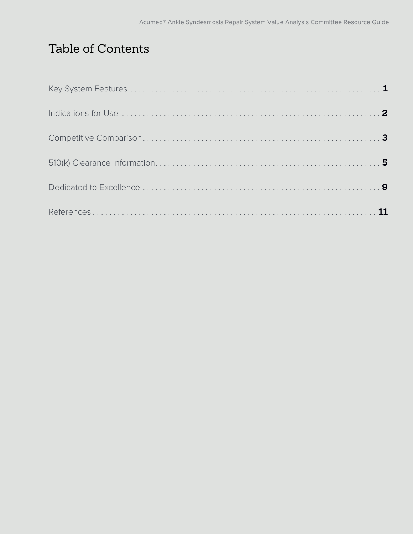# Table of Contents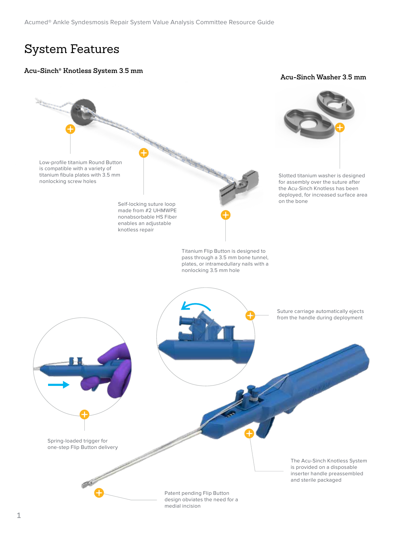### System Features

#### **Acu-Sinch® Knotless System 3.5 mm**

#### **Acu-Sinch Washer 3.5 mm**

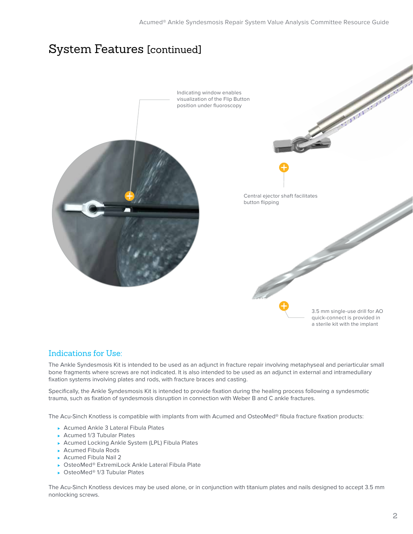### System Features [continued]



### Indications for Use:

The Ankle Syndesmosis Kit is intended to be used as an adjunct in fracture repair involving metaphyseal and periarticular small bone fragments where screws are not indicated. It is also intended to be used as an adjunct in external and intramedullary fixation systems involving plates and rods, with fracture braces and casting.

Specifically, the Ankle Syndesmosis Kit is intended to provide fixation during the healing process following a syndesmotic trauma, such as fixation of syndesmosis disruption in connection with Weber B and C ankle fractures.

The Acu-Sinch Knotless is compatible with implants from with Acumed and OsteoMed® fibula fracture fixation products:

- <sup>⊲</sup> Acumed Ankle 3 Lateral Fibula Plates
- <sup>⊲</sup> Acumed 1/3 Tubular Plates
- ▶ Acumed Locking Ankle System (LPL) Fibula Plates
- <sup>⊲</sup> Acumed Fibula Rods
- ► Acumed Fibula Nail 2
- <sup>⊲</sup> OsteoMed® ExtremiLock Ankle Lateral Fibula Plate
- <sup>⊲</sup> OsteoMed® 1/3 Tubular Plates

The Acu-Sinch Knotless devices may be used alone, or in conjunction with titanium plates and nails designed to accept 3.5 mm nonlocking screws.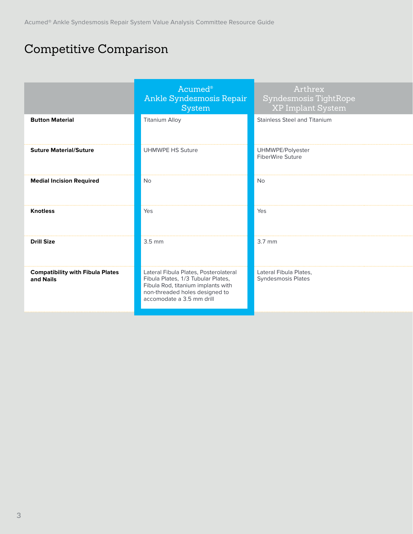# Competitive Comparison

|                                                      | Acumed <sup>®</sup><br>Ankle Syndesmosis Repair<br>System                                                                                                                        | Arthrex<br>Syndesmosis TightRope<br>XP Implant System |
|------------------------------------------------------|----------------------------------------------------------------------------------------------------------------------------------------------------------------------------------|-------------------------------------------------------|
| <b>Button Material</b>                               | Titanium Alloy                                                                                                                                                                   | <b>Stainless Steel and Titanium</b>                   |
| <b>Suture Material/Suture</b>                        | UHMWPE HS Suture                                                                                                                                                                 | UHMWPE/Polyester<br>FiberWire Suture                  |
| <b>Medial Incision Required</b>                      | No                                                                                                                                                                               | No                                                    |
| <b>Knotless</b>                                      | Yes                                                                                                                                                                              | Yes                                                   |
| <b>Drill Size</b>                                    | $3.5 \text{ mm}$                                                                                                                                                                 | $3.7 \text{ mm}$                                      |
| <b>Compatibility with Fibula Plates</b><br>and Nails | Lateral Fibula Plates, Posterolateral<br>Fibula Plates, 1/3 Tubular Plates,<br>Fibula Rod, titanium implants with<br>non-threaded holes designed to<br>accomodate a 3.5 mm drill | Lateral Fibula Plates,<br>Syndesmosis Plates          |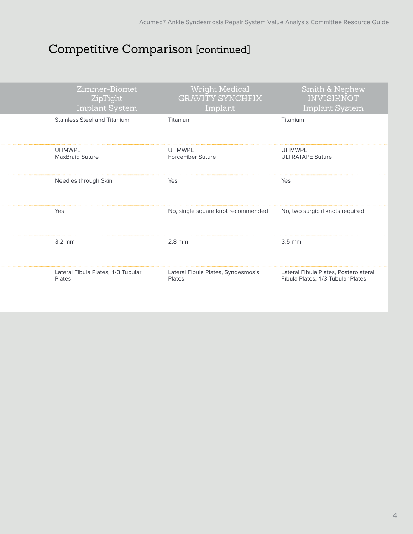# Competitive Comparison [continued]

| Zimmer-Biomet<br>ZipTight<br>Implant System  | <b>Wright Medical</b><br><b>GRAVITY SYNCHFIX</b><br>Implant | Smith & Nephew<br><b>INVISIKNOT</b><br><b>Implant System</b>               |
|----------------------------------------------|-------------------------------------------------------------|----------------------------------------------------------------------------|
| Stainless Steel and Titanium                 | Titanium                                                    | Titanium                                                                   |
| <b>UHMWPE</b><br>MaxBraid Suture             | <b>UHMWPE</b><br>ForceFiber Suture                          | <b>UHMWPE</b><br><b>ULTRATAPE Suture</b>                                   |
| Needles through Skin                         | Yes                                                         | Yes                                                                        |
| Yes                                          | No, single square knot recommended                          | No, two surgical knots required                                            |
| $3.2 \text{ mm}$                             | $2.8$ mm                                                    | $3.5 \text{ mm}$                                                           |
| Lateral Fibula Plates, 1/3 Tubular<br>Plates | Lateral Fibula Plates, Syndesmosis<br>Plates                | Lateral Fibula Plates, Posterolateral<br>Fibula Plates, 1/3 Tubular Plates |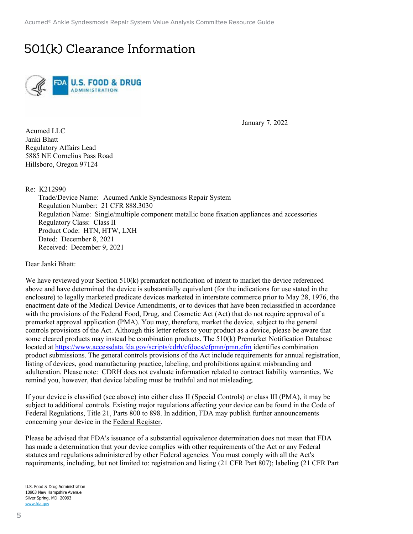# 501(k) Clearance Information



January 7, 2022

Acumed LLC Janki Bhatt Regulatory Affairs Lead 5885 NE Cornelius Pass Road Hillsboro, Oregon 97124

Re: K212990

Trade/Device Name: Acumed Ankle Syndesmosis Repair System Regulation Number: 21 CFR 888.3030 Regulation Name: Single/multiple component metallic bone fixation appliances and accessories Regulatory Class: Class II Product Code: HTN, HTW, LXH Dated: December 8, 2021 Received: December 9, 2021

Dear Janki Bhatt:

We have reviewed your Section 510(k) premarket notification of intent to market the device referenced above and have determined the device is substantially equivalent (for the indications for use stated in the enclosure) to legally marketed predicate devices marketed in interstate commerce prior to May 28, 1976, the enactment date of the Medical Device Amendments, or to devices that have been reclassified in accordance with the provisions of the Federal Food, Drug, and Cosmetic Act (Act) that do not require approval of a premarket approval application (PMA). You may, therefore, market the device, subject to the general controls provisions of the Act. Although this letter refers to your product as a device, please be aware that some cleared products may instead be combination products. The 510(k) Premarket Notification Database located at https://www.accessdata.fda.gov/scripts/cdrh/cfdocs/cfpmn/pmn.cfm identifies combination product submissions. The general controls provisions of the Act include requirements for annual registration, listing of devices, good manufacturing practice, labeling, and prohibitions against misbranding and adulteration. Please note: CDRH does not evaluate information related to contract liability warranties. We remind you, however, that device labeling must be truthful and not misleading.

If your device is classified (see above) into either class II (Special Controls) or class III (PMA), it may be subject to additional controls. Existing major regulations affecting your device can be found in the Code of Federal Regulations, Title 21, Parts 800 to 898. In addition, FDA may publish further announcements concerning your device in the Federal Register.

Please be advised that FDA's issuance of a substantial equivalence determination does not mean that FDA has made a determination that your device complies with other requirements of the Act or any Federal statutes and regulations administered by other Federal agencies. You must comply with all the Act's requirements, including, but not limited to: registration and listing (21 CFR Part 807); labeling (21 CFR Part

U.S. Food & Drug Administration 10903 New Hampshire Avenue Silver Spring, MD 20993 www.fda.gov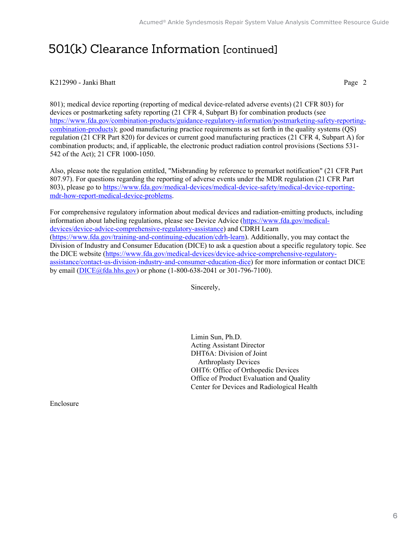## 501(k) Clearance Information [continued]

#### K212990 - Janki Bhatt Page 2

801); medical device reporting (reporting of medical device-related adverse events) (21 CFR 803) for devices or postmarketing safety reporting (21 CFR 4, Subpart B) for combination products (see https://www.fda.gov/combination-products/guidance-regulatory-information/postmarketing-safety-reportingcombination-products); good manufacturing practice requirements as set forth in the quality systems (QS) regulation (21 CFR Part 820) for devices or current good manufacturing practices (21 CFR 4, Subpart A) for combination products; and, if applicable, the electronic product radiation control provisions (Sections 531- 542 of the Act); 21 CFR 1000-1050.

Also, please note the regulation entitled, "Misbranding by reference to premarket notification" (21 CFR Part 807.97). For questions regarding the reporting of adverse events under the MDR regulation (21 CFR Part 803), please go to https://www.fda.gov/medical-devices/medical-device-safety/medical-device-reportingmdr-how-report-medical-device-problems.

For comprehensive regulatory information about medical devices and radiation-emitting products, including information about labeling regulations, please see Device Advice (https://www.fda.gov/medicaldevices/device-advice-comprehensive-regulatory-assistance) and CDRH Learn (https://www.fda.gov/training-and-continuing-education/cdrh-learn). Additionally, you may contact the Division of Industry and Consumer Education (DICE) to ask a question about a specific regulatory topic. See the DICE website (https://www.fda.gov/medical-devices/device-advice-comprehensive-regulatoryassistance/contact-us-division-industry-and-consumer-education-dice) for more information or contact DICE by email (DICE@fda.hhs.gov) or phone (1-800-638-2041 or 301-796-7100).

Sincerely,

Limin Sun, Ph.D. Acting Assistant Director DHT6A: Division of Joint Arthroplasty Devices OHT6: Office of Orthopedic Devices Office of Product Evaluation and Quality Center for Devices and Radiological Health

Enclosure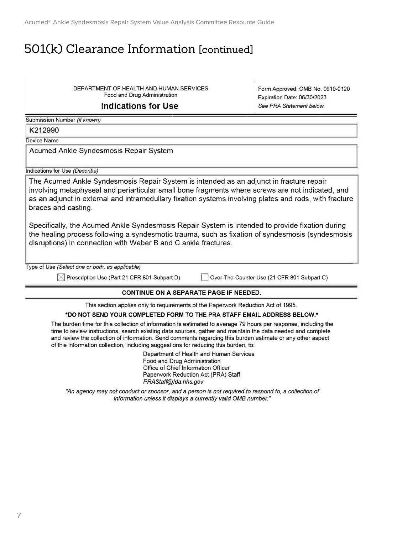Acumed® Ankle Syndesmosis Repair System Value Analysis Committee Resource Guide

## 501(k) Clearance Information [continued]

Food and Drug Administration DEPARTMENT OF HEALTH AND HUMAN SERVICES

#### **Indications for Use**

Form Approved: 0MB No. 0910-0120 Expiration Date: 06/30/2023 See *PRA Statement below.* 

*�����*  Submission Number *(if known)* 

K212990

Device Name

Acumed Ankle Syndesmosis Repair System

Indications for Use *(Describe)* 

The Acumed Ankle Syndesmosis Repair System is intended as an adjunct in fracture repair involving metaphyseal and periarticular small bone fragments where screws are not indicated, and as an adjunct in external and intramedullary fixation systems involving plates and rods, with fracture braces and casting.

Specifically, the Acumed Ankle Syndesmosis Repair System is intended to provide fixation during the healing process following a syndesmotic trauma, such as fixation of syndesmosis (syndesmosis disruptions) in connection with Weber Band C ankle fractures.

Type of Use *(Select one or both, as applicable)* 

 $\boxtimes$  Prescription Use (Part 21 CFR 801 Subpart D) Dver-The-Counter Use (21 CFR 801 Subpart C)

#### **CONTINUE ON A SEPARATE PAGE IF NEEDED.**

This section applies only to requirements of the Paperwork Reduction Act of 1995.

#### **\*00 NOT SEND YOUR COMPLETED FORM TO THE PRA STAFF EMAIL ADDRESS BELOW.\***

The burden time for this collection of information is estimated to average 79 hours per response, including the time to review instructions, search existing data sources, gather and maintain the data needed and complete and review the collection of information. Send comments regarding this burden estimate or any other aspect of this information collection, including suggestions for reducing this burden, to:

> Department of Health and Human Services Food and Drug Administration Office of Chief Information Officer Paperwork Reduction Act (PRA) Staff *PRAStaff@fda.hhs.gov*

*"An agency may not conduct or sponsor, and* a *person is not required to respond to,* a *collection of information unless it displays a currently valid 0MB number."*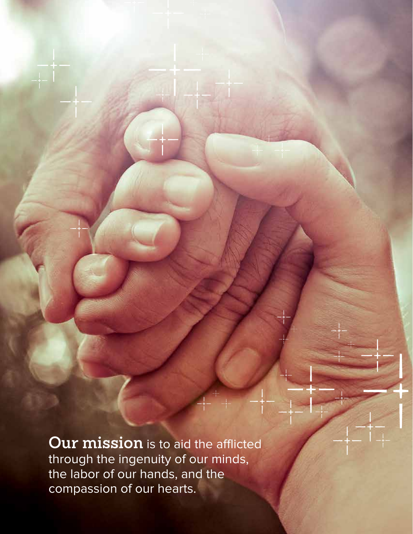**Our mission** is to aid the afflicted through the ingenuity of our minds, the labor of our hands, and the compassion of our hearts.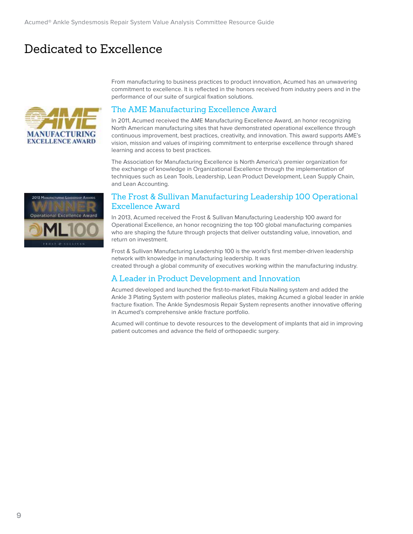# Dedicated to Excellence



From manufacturing to business practices to product innovation, Acumed has an unwavering commitment to excellence. It is reflected in the honors received from industry peers and in the performance of our suite of surgical fixation solutions.

#### The AME Manufacturing Excellence Award

In 2011, Acumed received the AME Manufacturing Excellence Award, an honor recognizing North American manufacturing sites that have demonstrated operational excellence through continuous improvement, best practices, creativity, and innovation. This award supports AME's vision, mission and values of inspiring commitment to enterprise excellence through shared learning and access to best practices.

The Association for Manufacturing Excellence is North America's premier organization for the exchange of knowledge in Organizational Excellence through the implementation of techniques such as Lean Tools, Leadership, Lean Product Development, Lean Supply Chain, and Lean Accounting.



#### The Frost & Sullivan Manufacturing Leadership 100 Operational Excellence Award

In 2013, Acumed received the Frost & Sullivan Manufacturing Leadership 100 award for Operational Excellence, an honor recognizing the top 100 global manufacturing companies who are shaping the future through projects that deliver outstanding value, innovation, and return on investment.

Frost & Sullivan Manufacturing Leadership 100 is the world's first member-driven leadership network with knowledge in manufacturing leadership. It was created through a global community of executives working within the manufacturing industry.

### A Leader in Product Development and Innovation

Acumed developed and launched the first-to-market Fibula Nailing system and added the Ankle 3 Plating System with posterior malleolus plates, making Acumed a global leader in ankle fracture fixation. The Ankle Syndesmosis Repair System represents another innovative offering in Acumed's comprehensive ankle fracture portfolio.

Acumed will continue to devote resources to the development of implants that aid in improving patient outcomes and advance the field of orthopaedic surgery.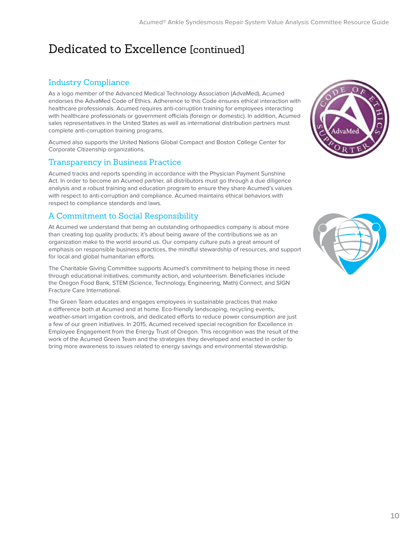# Dedicated to Excellence [continued]

### Industry Compliance

As a logo member of the Advanced Medical Technology Association (AdvaMed), Acumed endorses the AdvaMed Code of Ethics. Adherence to this Code ensures ethical interaction with healthcare professionals. Acumed requires anti-corruption training for employees interacting with healthcare professionals or government officials (foreign or domestic). In addition, Acumed sales representatives in the United States as well as international distribution partners must complete anti-corruption training programs.

Acumed also supports the United Nations Global Compact and Boston College Center for Corporate Citizenship organizations.

### Transparency in Business Practice

Acumed tracks and reports spending in accordance with the Physician Payment Sunshine Act. In order to become an Acumed partner, all distributors must go through a due diligence analysis and a robust training and education program to ensure they share Acumed's values with respect to anti-corruption and compliance. Acumed maintains ethical behaviors with respect to compliance standards and laws.

### A Commitment to Social Responsibility

At Acumed we understand that being an outstanding orthopaedics company is about more than creating top quality products: it's about being aware of the contributions we as an organization make to the world around us. Our company culture puts a great amount of emphasis on responsible business practices, the mindful stewardship of resources, and support for local and global humanitarian efforts.

The Charitable Giving Committee supports Acumed's commitment to helping those in need through educational initiatives, community action, and volunteerism. Beneficiaries include the Oregon Food Bank, STEM (Science, Technology, Engineering, Math) Connect, and SIGN Fracture Care International.

The Green Team educates and engages employees in sustainable practices that make a difference both at Acumed and at home. Eco-friendly landscaping, recycling events, weather-smart irrigation controls, and dedicated efforts to reduce power consumption are just a few of our green initiatives. In 2015, Acumed received special recognition for Excellence in Employee Engagement from the Energy Trust of Oregon. This recognition was the result of the work of the Acumed Green Team and the strategies they developed and enacted in order to bring more awareness to issues related to energy savings and environmental stewardship.



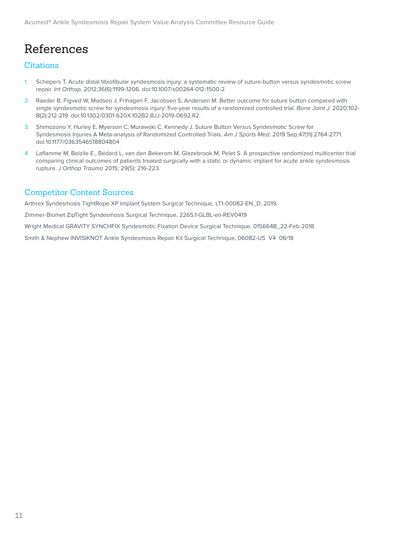# References

### Citations

- 1. Schepers T. Acute distal tibiofibular syndesmosis injury: a systematic review of suture-button versus syndesmotic screw repair. Int Orthop. 2012;36(6):1199-1206. doi:10.1007/s00264-012-1500-2
- 2. Raeder B, Figved W, Madsen J, Frihagen F, Jacobsen S, Andersen M. Better outcome for suture button compared with single syndesmotic screw for syndesmosis injury: five-year results of a randomized controlled trial. Bone Joint J. 2020;102-B(2):212-219. doi:10.1302/0301-620X.102B2.BJJ-2019-0692.R2.
- 3. Shimozono Y, Hurley E, Myerson C, Murawski C, Kennedy J. Suture Button Versus Syndesmotic Screw for Syndesmosis Injuries A Meta-analysis of Randomized Controlled Trials. Am J Sports Med. 2019 Sep;47(11):2764-2771. doi:10.1177/0363546518804804
- 4. Laflamme M, Belzile E., Bédard L, van den Bekerom M, Glazebrook M, Pelet S. A prospective randomized multicenter trial comparing clinical outcomes of patients treated surgically with a static or dynamic implant for acute ankle syndesmosis rupture. J Orthop Trauma 2015; 29(5): 216-223.

### Competitor Content Sources

Arthrex Syndesmosis TightRope XP Implant System Surgical Technique, LT1-00082-EN\_D, 2019. Zimmer-Biomet ZipTight Syndesmosis Surgical Technique, 2265.1-GLBL-en-REV0419 Wright Medical GRAVITY SYNCHFIX Syndesmotic Fixation Device Surgical Technique, 015664B\_22-Feb-2018 Smith & Nephew INVISIKNOT Ankle Syndesmosis Repair Kit Surgical Technique, 06082-US V4 06/18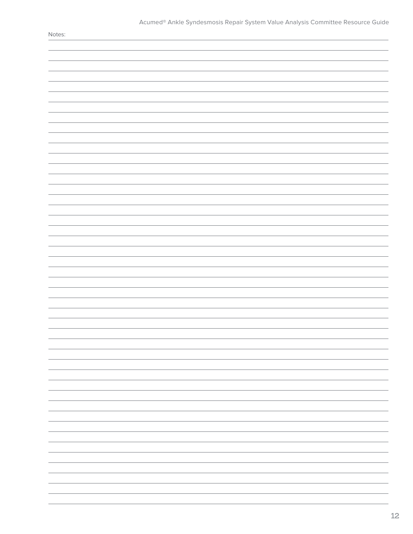| $\sim$ |
|--------|
|        |
|        |
|        |
|        |
|        |
|        |
|        |
|        |
|        |
|        |
|        |
|        |
|        |